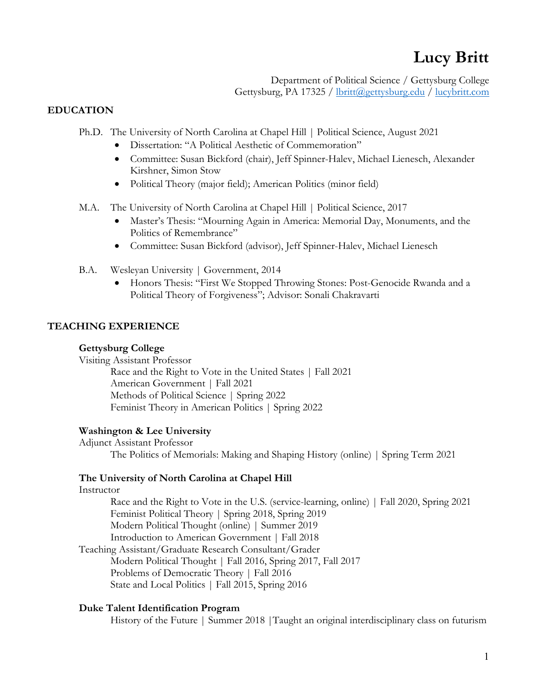# **Lucy Britt**

Department of Political Science / Gettysburg College Gettysburg, PA 17325 / lbritt@gettysburg.edu / lucybritt.com

## **EDUCATION**

- Ph.D. The University of North Carolina at Chapel Hill | Political Science, August 2021
	- Dissertation: "A Political Aesthetic of Commemoration"
	- Committee: Susan Bickford (chair), Jeff Spinner-Halev, Michael Lienesch, Alexander Kirshner, Simon Stow
	- Political Theory (major field); American Politics (minor field)
- M.A. The University of North Carolina at Chapel Hill | Political Science, 2017
	- Master's Thesis: "Mourning Again in America: Memorial Day, Monuments, and the Politics of Remembrance"
	- Committee: Susan Bickford (advisor), Jeff Spinner-Halev, Michael Lienesch
- B.A. Wesleyan University | Government, 2014
	- Honors Thesis: "First We Stopped Throwing Stones: Post-Genocide Rwanda and a Political Theory of Forgiveness"; Advisor: Sonali Chakravarti

# **TEACHING EXPERIENCE**

### **Gettysburg College**

Visiting Assistant Professor

Race and the Right to Vote in the United States | Fall 2021 American Government | Fall 2021 Methods of Political Science | Spring 2022 Feminist Theory in American Politics | Spring 2022

### **Washington & Lee University**

Adjunct Assistant Professor The Politics of Memorials: Making and Shaping History (online) | Spring Term 2021

### **The University of North Carolina at Chapel Hill**

#### Instructor

Race and the Right to Vote in the U.S. (service-learning, online) | Fall 2020, Spring 2021 Feminist Political Theory | Spring 2018, Spring 2019 Modern Political Thought (online) | Summer 2019 Introduction to American Government | Fall 2018 Teaching Assistant/Graduate Research Consultant/Grader

Modern Political Thought | Fall 2016, Spring 2017, Fall 2017 Problems of Democratic Theory | Fall 2016 State and Local Politics | Fall 2015, Spring 2016

# **Duke Talent Identification Program**

History of the Future | Summer 2018 | Taught an original interdisciplinary class on futurism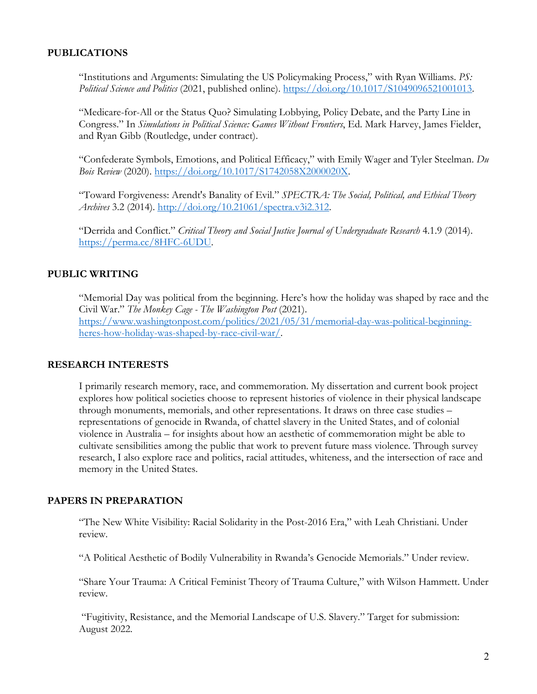### **PUBLICATIONS**

"Institutions and Arguments: Simulating the US Policymaking Process," with Ryan Williams. *PS: Political Science and Politics* (2021, published online). https://doi.org/10.1017/S1049096521001013.

"Medicare-for-All or the Status Quo? Simulating Lobbying, Policy Debate, and the Party Line in Congress." In *Simulations in Political Science: Games Without Frontiers*, Ed. Mark Harvey, James Fielder, and Ryan Gibb (Routledge, under contract).

"Confederate Symbols, Emotions, and Political Efficacy," with Emily Wager and Tyler Steelman. *Du Bois Review* (2020). https://doi.org/10.1017/S1742058X2000020X.

"Toward Forgiveness: Arendt's Banality of Evil." *SPECTRA: The Social, Political, and Ethical Theory Archives* 3.2 (2014). http://doi.org/10.21061/spectra.v3i2.312.

"Derrida and Conflict." *Critical Theory and Social Justice Journal of Undergraduate Research* 4.1.9 (2014). https://perma.cc/8HFC-6UDU.

# **PUBLIC WRITING**

"Memorial Day was political from the beginning. Here's how the holiday was shaped by race and the Civil War." *The Monkey Cage - The Washington Post* (2021). https://www.washingtonpost.com/politics/2021/05/31/memorial-day-was-political-beginningheres-how-holiday-was-shaped-by-race-civil-war/.

### **RESEARCH INTERESTS**

I primarily research memory, race, and commemoration. My dissertation and current book project explores how political societies choose to represent histories of violence in their physical landscape through monuments, memorials, and other representations. It draws on three case studies – representations of genocide in Rwanda, of chattel slavery in the United States, and of colonial violence in Australia – for insights about how an aesthetic of commemoration might be able to cultivate sensibilities among the public that work to prevent future mass violence. Through survey research, I also explore race and politics, racial attitudes, whiteness, and the intersection of race and memory in the United States.

### **PAPERS IN PREPARATION**

"The New White Visibility: Racial Solidarity in the Post-2016 Era," with Leah Christiani. Under review.

"A Political Aesthetic of Bodily Vulnerability in Rwanda's Genocide Memorials." Under review.

"Share Your Trauma: A Critical Feminist Theory of Trauma Culture," with Wilson Hammett. Under review.

"Fugitivity, Resistance, and the Memorial Landscape of U.S. Slavery." Target for submission: August 2022.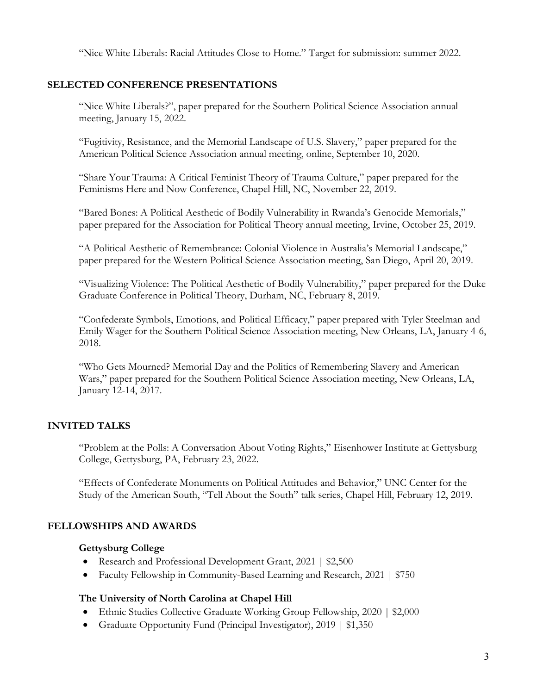"Nice White Liberals: Racial Attitudes Close to Home." Target for submission: summer 2022.

### **SELECTED CONFERENCE PRESENTATIONS**

"Nice White Liberals?", paper prepared for the Southern Political Science Association annual meeting, January 15, 2022.

"Fugitivity, Resistance, and the Memorial Landscape of U.S. Slavery," paper prepared for the American Political Science Association annual meeting, online, September 10, 2020.

"Share Your Trauma: A Critical Feminist Theory of Trauma Culture," paper prepared for the Feminisms Here and Now Conference, Chapel Hill, NC, November 22, 2019.

"Bared Bones: A Political Aesthetic of Bodily Vulnerability in Rwanda's Genocide Memorials," paper prepared for the Association for Political Theory annual meeting, Irvine, October 25, 2019.

"A Political Aesthetic of Remembrance: Colonial Violence in Australia's Memorial Landscape," paper prepared for the Western Political Science Association meeting, San Diego, April 20, 2019.

"Visualizing Violence: The Political Aesthetic of Bodily Vulnerability," paper prepared for the Duke Graduate Conference in Political Theory, Durham, NC, February 8, 2019.

"Confederate Symbols, Emotions, and Political Efficacy," paper prepared with Tyler Steelman and Emily Wager for the Southern Political Science Association meeting, New Orleans, LA, January 4-6, 2018.

"Who Gets Mourned? Memorial Day and the Politics of Remembering Slavery and American Wars," paper prepared for the Southern Political Science Association meeting, New Orleans, LA, January 12-14, 2017.

### **INVITED TALKS**

"Problem at the Polls: A Conversation About Voting Rights," Eisenhower Institute at Gettysburg College, Gettysburg, PA, February 23, 2022.

"Effects of Confederate Monuments on Political Attitudes and Behavior," UNC Center for the Study of the American South, "Tell About the South" talk series, Chapel Hill, February 12, 2019.

### **FELLOWSHIPS AND AWARDS**

#### **Gettysburg College**

- Research and Professional Development Grant, 2021 | \$2,500
- Faculty Fellowship in Community-Based Learning and Research, 2021 | \$750

### **The University of North Carolina at Chapel Hill**

- Ethnic Studies Collective Graduate Working Group Fellowship, 2020 | \$2,000
- Graduate Opportunity Fund (Principal Investigator), 2019 | \$1,350